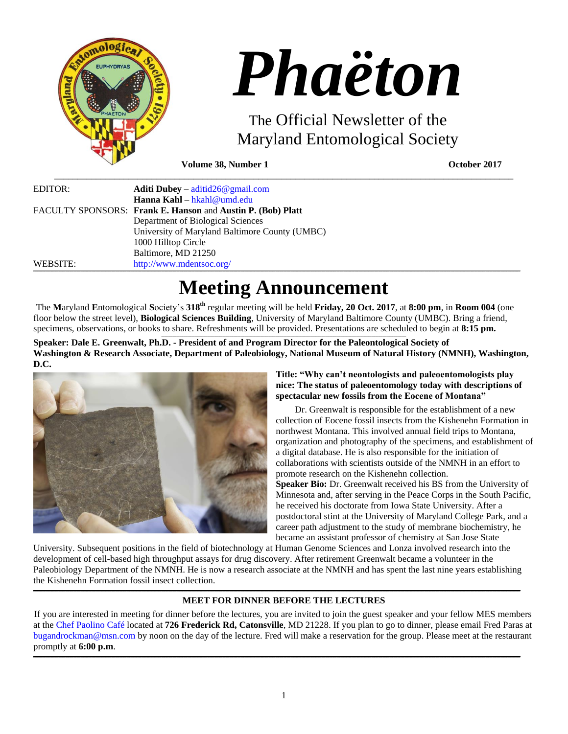

# *Phaëton*

The Official Newsletter of the Maryland Entomological Society

**Volume 38, Number 1 October 2017**

| EDITOR:  | <b>Aditi Dubey</b> – $\text{aditid26@gmail.com}$            |
|----------|-------------------------------------------------------------|
|          | Hanna Kahl – hkahl@umd.edu                                  |
|          | FACULTY SPONSORS: Frank E. Hanson and Austin P. (Bob) Platt |
|          | Department of Biological Sciences                           |
|          | University of Maryland Baltimore County (UMBC)              |
|          | 1000 Hilltop Circle                                         |
|          | Baltimore, MD 21250                                         |
| WEBSITE: | http://www.mdentsoc.org/                                    |

# **Meeting Announcement**

 $\_$  ,  $\_$  ,  $\_$  ,  $\_$  ,  $\_$  ,  $\_$  ,  $\_$  ,  $\_$  ,  $\_$  ,  $\_$  ,  $\_$  ,  $\_$  ,  $\_$  ,  $\_$  ,  $\_$  ,  $\_$  ,  $\_$  ,  $\_$  ,  $\_$  ,  $\_$  ,  $\_$  ,  $\_$  ,  $\_$  ,  $\_$  ,  $\_$  ,  $\_$  ,  $\_$  ,  $\_$  ,  $\_$  ,  $\_$  ,  $\_$  ,  $\_$  ,  $\_$  ,  $\_$  ,  $\_$  ,  $\_$  ,  $\_$  ,

The **M**aryland **E**ntomological **S**ociety's **318th** regular meeting will be held **Friday, 20 Oct. 2017**, at **8:00 pm**, in **Room 004** (one floor below the street level), **Biological Sciences Building**, University of Maryland Baltimore County (UMBC). Bring a friend, specimens, observations, or books to share. Refreshments will be provided. Presentations are scheduled to begin at **8:15 pm.**

**Speaker: Dale E. Greenwalt, Ph.D. - President of and Program Director for the Paleontological Society of Washington & Research Associate, Department of Paleobiology, National Museum of Natural History (NMNH), Washington, D.C.**



**Title: "Why can't neontologists and paleoentomologists play nice: The status of paleoentomology today with descriptions of spectacular new fossils from the Eocene of Montana"**

Dr. Greenwalt is responsible for the establishment of a new collection of Eocene fossil insects from the Kishenehn Formation in northwest Montana. This involved annual field trips to Montana, organization and photography of the specimens, and establishment of a digital database. He is also responsible for the initiation of collaborations with scientists outside of the NMNH in an effort to promote research on the Kishenehn collection. **Speaker Bio:** Dr. Greenwalt received his BS from the University of Minnesota and, after serving in the Peace Corps in the South Pacific, he received his doctorate from Iowa State University. After a postdoctoral stint at the University of Maryland College Park, and a career path adjustment to the study of membrane biochemistry, he became an assistant professor of chemistry at San Jose State

University. Subsequent positions in the field of biotechnology at Human Genome Sciences and Lonza involved research into the development of cell-based high throughput assays for drug discovery. After retirement Greenwalt became a volunteer in the Paleobiology Department of the NMNH. He is now a research associate at the NMNH and has spent the last nine years establishing the Kishenehn Formation fossil insect collection.

,我们的人们就会不会不会。""我们的人们,我们也不会不会不会。""我们的人们,我们也不会不会不会不会。""我们的人们,我们也不会不会不会不会。""我们的人们,我<br>第二百一章 一个人们的人们,我们的人们的人们,我们的人们的人们,我们的人们的人们,我们的人们的人们,我们的人们的人们,我们的人们的人们,我们的人们的人们,我们的

# **MEET FOR DINNER BEFORE THE LECTURES**

If you are interested in meeting for dinner before the lectures, you are invited to join the guest speaker and your fellow MES members at the [Chef Paolino Café](https://www.google.com/maps/place/Chef+Paolino+Cafe/@39.2727924,-76.7320191,15z/data=!4m5!3m4!1s0x0:0x5b7140dd2ad4f543!8m2!3d39.2727924!4d-76.7320191) located at **726 Frederick Rd, Catonsville**, MD 21228. If you plan to go to dinner, please email Fred Paras at [bugandrockman@msn.com](file:///C:/Users/Hanna/Downloads/bugandrockman@msn.com) by noon on the day of the lecture. Fred will make a reservation for the group. Please meet at the restaurant promptly at **6:00 p.m**.

,我们的人们就会不会不会。""我们的人们,我们也不会不会不会。""我们的人们,我们也不会不会不会不会。""我们的人们,我们也不会不会不会不会。""我们的人们,我<br>第二百一章 一个人们的人们,我们的人们的人们,我们的人们的人们,我们的人们的人们,我们的人们的人们,我们的人们的人们,我们的人们的人们,我们的人们的人们,我们的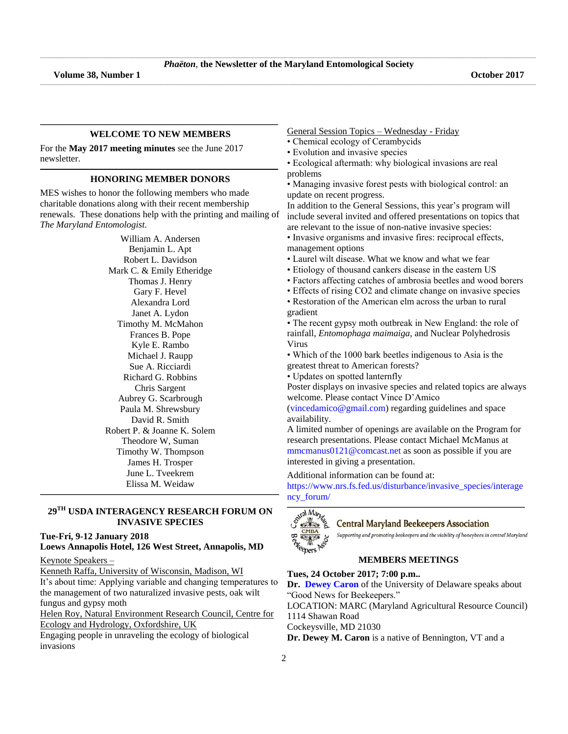\_\_\_\_\_\_\_\_\_\_\_\_\_\_\_\_\_\_\_\_\_\_\_\_\_\_\_\_\_\_\_\_\_\_\_\_\_\_\_\_\_\_\_\_\_\_\_\_\_\_\_\_\_\_\_\_\_\_\_\_\_\_\_\_\_\_\_\_\_\_\_\_\_\_\_\_\_\_\_\_\_\_\_\_\_\_\_\_\_\_\_\_\_\_\_\_\_\_\_\_\_\_\_\_\_\_\_\_\_\_\_\_\_\_\_\_\_\_\_\_\_\_\_\_\_\_\_\_\_\_\_\_\_\_\_\_\_\_\_\_\_\_\_\_\_\_\_\_\_\_\_\_\_\_\_\_\_\_\_\_\_\_\_\_\_\_\_\_\_\_\_\_\_\_\_\_\_\_\_\_\_\_\_\_\_\_\_\_\_\_\_\_\_\_\_\_\_\_\_\_\_\_\_\_\_\_\_\_\_\_\_\_\_\_

#### **\_\_\_\_\_\_\_\_\_\_\_\_\_\_\_\_\_\_\_\_\_\_\_\_\_\_\_\_\_\_\_\_\_\_\_\_\_\_\_\_\_\_\_\_\_\_\_\_\_\_\_\_\_\_\_\_\_\_\_\_\_\_\_\_\_\_\_\_\_\_\_\_\_\_\_\_\_\_\_\_\_\_\_\_\_\_\_\_\_\_\_\_\_\_\_\_\_\_\_\_\_\_\_\_\_\_\_\_\_\_\_\_\_\_\_\_\_\_\_\_\_\_\_\_\_\_\_\_\_\_\_\_\_\_\_\_\_\_\_\_\_\_\_\_\_\_\_\_\_\_\_\_\_\_\_\_\_\_\_\_\_\_\_\_\_\_\_\_\_\_\_ WELCOME TO NEW MEMBERS**

For the **May 2017 meeting minutes** see the June 2017 newsletter.

#### **\_\_\_\_\_\_\_\_\_\_\_\_\_\_\_\_\_\_\_\_\_\_\_\_\_\_\_\_\_\_\_\_\_\_\_\_\_\_\_\_\_\_\_\_\_\_\_\_\_\_\_\_\_\_\_\_\_\_\_\_\_\_\_\_\_\_\_\_\_\_\_\_\_\_\_\_\_\_\_\_\_\_\_\_\_\_\_\_\_\_\_\_\_\_\_\_\_\_\_\_\_\_\_\_\_\_\_\_\_\_\_\_\_\_\_\_\_\_\_\_\_\_\_\_\_\_\_\_\_\_\_\_\_\_\_\_\_\_\_\_\_\_\_\_\_\_\_\_\_\_\_\_\_\_\_\_\_\_\_\_\_\_\_\_\_\_\_\_\_\_\_ HONORING MEMBER DONORS**

MES wishes to honor the following members who made charitable donations along with their recent membership renewals. These donations help with the printing and mailing of *The Maryland Entomologist*.

> William A. Andersen Benjamin L. Apt Robert L. Davidson Mark C. & Emily Etheridge Thomas J. Henry Gary F. Hevel Alexandra Lord Janet A. Lydon Timothy M. McMahon Frances B. Pope Kyle E. Rambo Michael J. Raupp Sue A. Ricciardi Richard G. Robbins Chris Sargent Aubrey G. Scarbrough Paula M. Shrewsbury David R. Smith Robert P. & Joanne K. Solem Theodore W, Suman Timothy W. Thompson James H. Trosper June L. Tveekrem Elissa M. Weidaw

# **29 TH USDA INTERAGENCY RESEARCH FORUM ON INVASIVE SPECIES**

**\_\_\_\_\_\_\_\_\_\_\_\_\_\_\_\_\_\_\_\_\_\_\_\_\_\_\_\_\_\_\_\_\_\_\_\_\_\_\_\_\_\_\_\_\_\_\_\_\_\_\_\_\_\_\_\_\_\_\_\_\_\_\_\_\_\_\_\_\_\_\_\_\_\_\_\_\_\_\_\_\_\_\_\_\_\_\_\_\_\_\_\_\_\_\_\_\_\_\_\_\_\_\_\_\_\_\_\_\_\_\_\_\_\_\_\_\_\_\_\_\_\_\_\_\_\_\_\_\_\_\_\_\_\_\_\_\_\_\_\_\_\_\_\_\_\_\_\_\_\_\_\_\_\_\_\_\_\_\_\_\_\_\_\_\_\_\_\_\_\_\_\_**

**Tue-Fri, 9-12 January 2018**

**Loews Annapolis Hotel, 126 West Street, Annapolis, MD**  Keynote Speakers –

Kenneth Raffa, University of Wisconsin, Madison, WI

It's about time: Applying variable and changing temperatures to the management of two naturalized invasive pests, oak wilt fungus and gypsy moth

Helen Roy, Natural Environment Research Council, Centre for Ecology and Hydrology, Oxfordshire, UK

Engaging people in unraveling the ecology of biological invasions

General Session Topics – Wednesday - Friday

- Chemical ecology of Cerambycids
- Evolution and invasive species
- Ecological aftermath: why biological invasions are real problems

• Managing invasive forest pests with biological control: an update on recent progress.

In addition to the General Sessions, this year's program will include several invited and offered presentations on topics that are relevant to the issue of non-native invasive species:

• Invasive organisms and invasive fires: reciprocal effects, management options

- Laurel wilt disease. What we know and what we fear
- Etiology of thousand cankers disease in the eastern US

• Factors affecting catches of ambrosia beetles and wood borers

• Effects of rising CO2 and climate change on invasive species

• Restoration of the American elm across the urban to rural gradient

• The recent gypsy moth outbreak in New England: the role of rainfall, *Entomophaga maimaiga*, and Nuclear Polyhedrosis Virus

• Which of the 1000 bark beetles indigenous to Asia is the greatest threat to American forests?

• Updates on spotted lanternfly

Poster displays on invasive species and related topics are always welcome. Please contact Vince D'Amico

[\(vincedamico@gmail.com\)](file:///C:/Users/Hanna/Downloads/vincedamico@gmail.com) regarding guidelines and space availability.

A limited number of openings are available on the Program for research presentations. Please contact Michael McManus at [mmcmanus0121@comcast.net](file:///C:/Users/Hanna/Downloads/mmcmanus0121@comcast.net) as soon as possible if you are interested in giving a presentation.

Additional information can be found at:

[https://www.nrs.fs.fed.us/disturbance/invasive\\_species/interage](https://www.nrs.fs.fed.us/disturbance/invasive_species/interagency_forum/) [ncy\\_forum/](https://www.nrs.fs.fed.us/disturbance/invasive_species/interagency_forum/)



**Central Maryland Beekeepers Association** 

Supporting and promoting beekeepers and the viability of honeybees in central Maryland

# **MEMBERS MEETINGS**

# **Tues, 24 October 2017; 7:00 p.m..**

**Dr. [Dewey Caron](http://udel.edu/~dmcaron/)** of the University of Delaware speaks about "Good News for Beekeepers."

LOCATION: MARC (Maryland Agricultural Resource Council) 1114 Shawan Road

Cockeysville, MD 21030

**Dr. Dewey M. Caron** is a native of Bennington, VT and a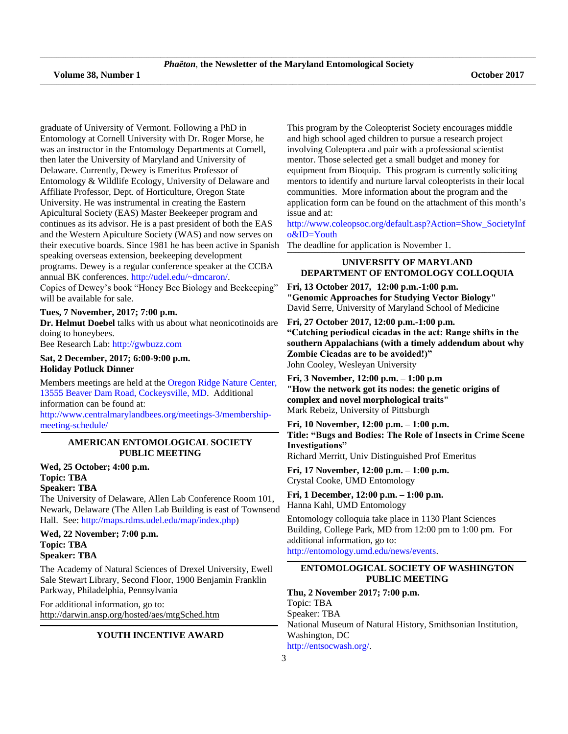graduate of University of Vermont. Following a PhD in Entomology at Cornell University with Dr. Roger Morse, he was an instructor in the Entomology Departments at Cornell, then later the University of Maryland and University of Delaware. Currently, Dewey is Emeritus Professor of Entomology & Wildlife Ecology, University of Delaware and Affiliate Professor, Dept. of Horticulture, Oregon State University. He was instrumental in creating the Eastern Apicultural Society (EAS) Master Beekeeper program and continues as its advisor. He is a past president of both the EAS and the Western Apiculture Society (WAS) and now serves on their executive boards. Since 1981 he has been active in Spanish speaking overseas extension, beekeeping development programs. Dewey is a regular conference speaker at the CCBA annual BK conferences[. http://udel.edu/~dmcaron/.](http://udel.edu/~dmcaron/) Copies of Dewey's book "Honey Bee Biology and Beekeeping" will be available for sale.

#### **Tues, 7 November, 2017; 7:00 p.m.**

**Dr. Helmut Doebel** talks with us about what neonicotinoids are doing to honeybees.

Bee Research Lab: [http://gwbuzz.com](http://gwbuzz.com/)

# **Sat, 2 December, 2017; 6:00-9:00 p.m. Holiday Potluck Dinner**

Members meetings are held at the [Oregon Ridge Nature Center,](https://www.google.com/maps/place/Oregon+Ridge+Nature+Center/@39.4970222,-76.6868097,15z/data=!4m2!3m1!1s0x0:0x9fbed14b2a0e98dd?sa=X&ved=0ahUKEwjkwILmv6jQAhXs6YMKHVsmDwgQ_BIIdDAK)  [13555 Beaver Dam Road, Cockeysville, MD.](https://www.google.com/maps/place/Oregon+Ridge+Nature+Center/@39.4970222,-76.6868097,15z/data=!4m2!3m1!1s0x0:0x9fbed14b2a0e98dd?sa=X&ved=0ahUKEwjkwILmv6jQAhXs6YMKHVsmDwgQ_BIIdDAK) Additional information can be found at:

[http://www.centralmarylandbees.org/meetings-3/membership](http://www.centralmarylandbees.org/meetings-3/membership-meeting-schedule/)[meeting-schedule/](http://www.centralmarylandbees.org/meetings-3/membership-meeting-schedule/)

#### **\_\_\_\_\_\_\_\_\_\_\_\_\_\_\_\_\_\_\_\_\_\_\_\_\_\_\_\_\_\_\_\_\_\_\_\_\_\_\_\_\_\_\_\_\_\_\_\_\_\_\_\_\_\_\_\_\_\_\_\_\_\_\_\_\_\_\_\_\_\_\_\_\_\_\_\_\_\_\_\_\_\_\_\_\_\_\_\_\_\_\_\_\_\_\_\_\_\_\_\_\_\_\_\_\_\_\_\_\_\_\_\_\_\_\_\_\_\_\_\_\_\_\_\_\_\_\_\_\_\_\_\_\_\_\_\_\_\_\_\_\_\_\_\_\_\_\_\_\_\_\_\_\_\_\_\_\_\_\_\_\_\_\_\_\_\_\_\_\_\_\_ AMERICAN ENTOMOLOGICAL SOCIETY PUBLIC MEETING**

# **Wed, 25 October; 4:00 p.m. Topic: TBA Speaker: TBA**

The University of Delaware, Allen Lab Conference Room 101, Newark, Delaware (The Allen Lab Building is east of Townsend Hall. See[: http://maps.rdms.udel.edu/map/index.php\)](http://maps.rdms.udel.edu/map/index.php)

# **Wed, 22 November; 7:00 p.m. Topic: TBA Speaker: TBA**

The Academy of Natural Sciences of Drexel University, Ewell Sale Stewart Library, Second Floor, 1900 Benjamin Franklin Parkway, Philadelphia, Pennsylvania

For additional information, go to: <http://darwin.ansp.org/hosted/aes/mtgSched.htm>

#### **\_\_\_\_\_\_\_\_\_\_\_\_\_\_\_\_\_\_\_\_\_\_\_\_\_\_\_\_\_\_\_\_\_\_\_\_\_\_\_\_\_\_\_\_\_\_\_\_\_\_\_\_\_\_\_\_\_\_\_\_\_\_\_\_\_\_\_\_\_\_\_\_\_\_\_\_\_\_\_\_\_\_\_\_\_\_\_\_\_\_\_\_\_\_\_\_\_\_\_\_\_\_\_\_\_\_\_\_\_\_\_\_\_\_\_\_\_\_\_\_\_\_\_\_\_\_\_\_\_\_\_\_\_\_\_\_\_\_\_\_\_\_\_\_\_\_\_\_\_\_\_\_\_\_\_\_\_\_\_\_\_\_\_\_\_\_\_\_\_\_\_ YOUTH INCENTIVE AWARD**

This program by the Coleopterist Society encourages middle and high school aged children to pursue a research project involving Coleoptera and pair with a professional scientist mentor. Those selected get a small budget and money for equipment from Bioquip. This program is currently soliciting mentors to identify and nurture larval coleopterists in their local communities. More information about the program and the application form can be found on the attachment of this month's issue and at:

[http://www.coleopsoc.org/default.asp?Action=Show\\_SocietyInf](http://www.coleopsoc.org/default.asp?Action=Show_SocietyInfo&ID=Youth) [o&ID=Youth](http://www.coleopsoc.org/default.asp?Action=Show_SocietyInfo&ID=Youth)

The deadline for application is November 1.

#### **\_\_\_\_\_\_\_\_\_\_\_\_\_\_\_\_\_\_\_\_\_\_\_\_\_\_\_\_\_\_\_\_\_\_\_\_\_\_\_\_\_\_\_\_\_\_\_\_\_\_\_\_\_\_\_\_\_\_\_\_\_\_\_\_\_\_\_\_\_\_\_\_\_\_\_\_\_\_\_\_\_\_\_\_\_\_\_\_\_\_\_\_\_\_\_\_\_\_\_\_\_\_\_\_\_\_\_\_\_\_\_\_\_\_\_\_\_\_\_\_\_\_\_\_\_\_\_\_\_\_\_\_\_\_\_\_\_\_\_\_\_\_\_\_\_\_\_\_\_\_\_\_\_\_\_\_\_\_\_\_\_\_\_\_\_\_\_\_\_\_\_ UNIVERSITY OF MARYLAND DEPARTMENT OF ENTOMOLOGY COLLOQUIA**

**Fri, 13 October 2017, 12:00 p.m.-1:00 p.m. "Genomic Approaches for Studying Vector Biology"** David Serre, University of Maryland School of Medicine

**Fri, 27 October 2017, 12:00 p.m.-1:00 p.m. "Catching periodical cicadas in the act: Range shifts in the southern Appalachians (with a timely addendum about why Zombie Cicadas are to be avoided!)"** John Cooley, Wesleyan University

**Fri, 3 November, 12:00 p.m. – 1:00 p.m "How the network got its nodes: the genetic origins of complex and novel morphological traits"** Mark Rebeiz, University of Pittsburgh

**Fri, 10 November, 12:00 p.m. – 1:00 p.m. Title: "Bugs and Bodies: The Role of Insects in Crime Scene Investigations"** Richard Merritt, Univ Distinguished Prof Emeritus

**Fri, 17 November, 12:00 p.m. – 1:00 p.m.** Crystal Cooke, UMD Entomology

**Fri, 1 December, 12:00 p.m. – 1:00 p.m.** Hanna Kahl, UMD Entomology

Entomology colloquia take place in 1130 Plant Sciences Building, College Park, MD from 12:00 pm to 1:00 pm. For additional information, go to: [http://entomology.umd.edu/news/events.](http://entomology.umd.edu/news/events)

#### **\_\_\_\_\_\_\_\_\_\_\_\_\_\_\_\_\_\_\_\_\_\_\_\_\_\_\_\_\_\_\_\_\_\_\_\_\_\_\_\_\_\_\_\_\_\_\_\_\_\_\_\_\_\_\_\_\_\_\_\_\_\_\_\_\_\_\_\_\_\_\_\_\_\_\_\_\_\_\_\_\_\_\_\_\_\_\_\_\_\_\_\_\_\_\_\_\_\_\_\_\_\_\_\_\_\_\_\_\_\_\_\_\_\_\_\_\_\_\_\_\_\_\_\_\_\_\_\_\_\_\_\_\_\_\_\_\_\_\_\_\_\_\_\_\_\_\_\_\_\_\_\_\_\_\_\_\_\_\_\_\_\_\_\_\_\_\_\_\_\_\_\_ ENTOMOLOGICAL SOCIETY OF WASHINGTON PUBLIC MEETING**

**Thu, 2 November 2017; 7:00 p.m.** Topic: TBA Speaker: TBA National Museum of Natural History, Smithsonian Institution, Washington, DC [http://entsocwash.org/.](http://entsocwash.org/)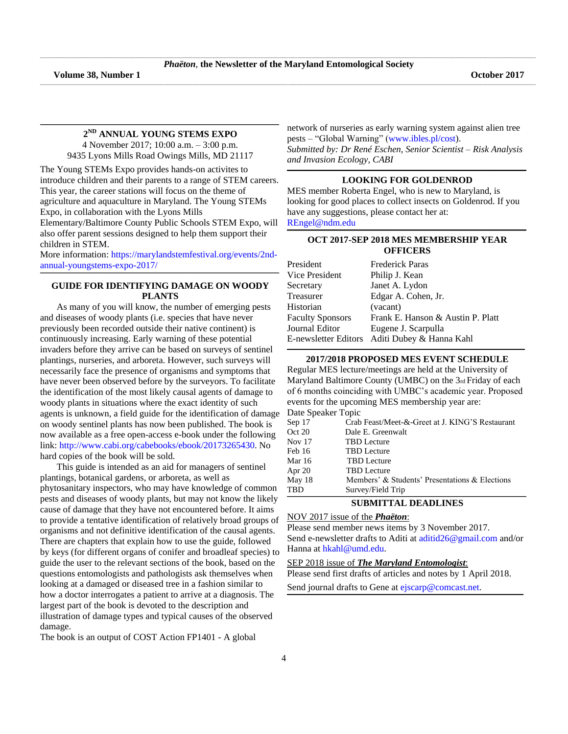\_\_\_\_\_\_\_\_\_\_\_\_\_\_\_\_\_\_\_\_\_\_\_\_\_\_\_\_\_\_\_\_\_\_\_\_\_\_\_\_\_\_\_\_\_\_\_\_\_\_\_\_\_\_\_\_\_\_\_\_\_\_\_\_\_\_\_\_\_\_\_\_\_\_\_\_\_\_\_\_\_\_\_\_\_\_\_\_\_\_\_\_\_\_\_\_\_\_\_\_\_\_\_\_\_\_\_\_\_\_\_\_\_\_\_\_\_\_\_\_\_\_\_\_\_\_\_\_\_\_\_\_\_\_\_\_\_\_\_\_\_\_\_\_\_\_\_\_\_\_\_\_\_\_\_\_\_\_\_\_\_\_\_\_\_\_\_\_\_\_\_\_\_\_\_\_\_\_\_\_\_\_\_\_\_\_\_\_\_\_\_\_\_\_\_\_\_\_\_\_\_\_\_\_\_\_\_\_\_\_\_\_\_\_

#### **\_\_\_\_\_\_\_\_\_\_\_\_\_\_\_\_\_\_\_\_\_\_\_\_\_\_\_\_\_\_\_\_\_\_\_\_\_\_\_\_\_\_\_\_\_\_\_\_\_\_\_\_\_\_\_\_\_\_\_\_\_\_\_\_\_\_\_\_\_\_\_\_\_\_\_\_\_\_\_\_\_\_\_\_\_\_\_\_\_\_\_\_\_\_\_\_\_\_\_\_\_\_\_\_\_\_\_\_\_\_\_\_\_\_\_\_\_\_\_\_\_\_\_\_\_\_\_\_\_\_\_\_\_\_\_\_\_\_\_\_\_\_\_\_\_\_\_\_\_\_\_\_\_\_\_\_\_\_\_\_\_\_\_\_\_\_\_\_\_\_\_\_ 2 ND ANNUAL YOUNG STEMS EXPO**

4 November 2017; 10:00 a.m. – 3:00 p.m. 9435 Lyons Mills Road Owings Mills, MD 21117

The Young STEMs Expo provides hands-on activites to introduce children and their parents to a range of STEM careers. This year, the career stations will focus on the theme of agriculture and aquaculture in Maryland. The Young STEMs Expo, in collaboration with the Lyons Mills

Elementary/Baltimore County Public Schools STEM Expo, will also offer parent sessions designed to help them support their children in STEM.

More information: [https://marylandstemfestival.org/events/2nd](https://marylandstemfestival.org/events/2nd-annual-youngstems-expo-2017/)[annual-youngstems-expo-2017/](https://marylandstemfestival.org/events/2nd-annual-youngstems-expo-2017/) **\_\_\_\_\_\_\_\_\_\_\_\_\_\_\_\_\_\_\_\_\_\_\_\_\_\_\_\_\_\_\_\_\_\_\_\_\_\_\_\_\_\_\_\_\_\_\_\_\_\_\_\_\_\_\_\_\_\_\_\_\_\_\_\_\_\_\_\_\_\_\_\_\_\_\_\_\_\_\_\_\_\_\_\_\_\_\_\_\_\_\_\_\_\_\_\_\_\_\_\_\_\_\_\_\_\_\_\_\_\_\_\_\_\_\_\_\_\_\_\_\_\_\_\_\_\_\_\_\_\_\_\_\_\_\_\_\_\_\_\_\_\_\_\_\_\_\_\_\_\_\_\_\_\_\_\_\_\_\_\_\_\_\_\_\_\_\_\_\_\_\_\_**

# **GUIDE FOR IDENTIFYING DAMAGE ON WOODY PLANTS**

As many of you will know, the number of emerging pests and diseases of woody plants (i.e. species that have never previously been recorded outside their native continent) is continuously increasing. Early warning of these potential invaders before they arrive can be based on surveys of sentinel plantings, nurseries, and arboreta. However, such surveys will necessarily face the presence of organisms and symptoms that have never been observed before by the surveyors. To facilitate the identification of the most likely causal agents of damage to woody plants in situations where the exact identity of such agents is unknown, a field guide for the identification of damage on woody sentinel plants has now been published. The book is now available as a free open-access e-book under the following link: [http://www.cabi.org/cabebooks/ebook/20173265430.](http://www.cabi.org/cabebooks/ebook/20173265430) No hard copies of the book will be sold.

This guide is intended as an aid for managers of sentinel plantings, botanical gardens, or arboreta, as well as phytosanitary inspectors, who may have knowledge of common pests and diseases of woody plants, but may not know the likely cause of damage that they have not encountered before. It aims to provide a tentative identification of relatively broad groups of organisms and not definitive identification of the causal agents. There are chapters that explain how to use the guide, followed by keys (for different organs of conifer and broadleaf species) to guide the user to the relevant sections of the book, based on the questions entomologists and pathologists ask themselves when looking at a damaged or diseased tree in a fashion similar to how a doctor interrogates a patient to arrive at a diagnosis. The largest part of the book is devoted to the description and illustration of damage types and typical causes of the observed damage.

The book is an output of COST Action FP1401 - A global

network of nurseries as early warning system against alien tree pests – "Global Warning" [\(www.ibles.pl/cost\)](file:///C:/Users/aditi/Downloads/aditi/Downloads/www.ibles.pl/cost).

*Submitted by: Dr René Eschen, Senior Scientist – Risk Analysis and Invasion Ecology, CABI*

#### **\_\_\_\_\_\_\_\_\_\_\_\_\_\_\_\_\_\_\_\_\_\_\_\_\_\_\_\_\_\_\_\_\_\_\_\_\_\_\_\_\_\_\_\_\_\_\_\_\_\_\_\_\_\_\_\_\_\_\_\_\_\_\_\_\_\_\_\_\_\_\_\_\_\_\_\_\_\_\_\_\_\_\_\_\_\_\_\_\_\_\_\_\_\_\_\_\_\_\_\_\_\_\_\_\_\_\_\_\_\_\_\_\_\_\_\_\_\_\_\_\_\_\_\_\_\_\_\_\_\_\_\_\_\_\_\_\_\_\_\_\_\_\_\_\_\_\_\_\_\_\_\_\_\_\_\_\_\_\_\_\_\_\_\_\_\_\_\_\_\_\_\_ LOOKING FOR GOLDENROD**

MES member Roberta Engel, who is new to Maryland, is looking for good places to collect insects on Goldenrod. If you have any suggestions, please contact her at: [REngel@ndm.edu](file:///C:/Users/Hanna/Downloads/REngel@ndm.edu)

**\_\_\_\_\_\_\_\_\_\_\_\_\_\_\_\_\_\_\_\_\_\_\_\_\_\_\_\_\_\_\_\_\_\_\_\_\_\_\_\_\_\_\_\_\_\_\_\_\_\_\_\_\_\_\_\_\_\_\_\_\_\_\_\_\_\_\_\_\_\_\_\_\_\_\_\_\_\_\_\_\_\_\_\_\_\_\_\_\_\_\_\_\_\_\_\_\_\_\_\_\_\_\_\_\_\_\_\_\_\_\_\_\_\_\_\_\_\_\_\_\_\_\_\_\_\_\_\_\_\_\_\_\_\_\_\_\_\_\_\_\_\_\_\_\_\_\_\_\_\_\_\_\_\_\_\_\_\_\_\_\_\_\_\_\_\_\_\_\_\_\_\_**

# **OCT 2017-SEP 2018 MES MEMBERSHIP YEAR OFFICERS**

| President               | Frederick Paras                   |
|-------------------------|-----------------------------------|
| Vice President          | Philip J. Kean                    |
| Secretary               | Janet A. Lydon                    |
| Treasurer               | Edgar A. Cohen, Jr.               |
| Historian               | (vacant)                          |
| <b>Faculty Sponsors</b> | Frank E. Hanson & Austin P. Platt |
| Journal Editor          | Eugene J. Scarpulla               |
| E-newsletter Editors    | Aditi Dubey & Hanna Kahl          |

#### **\_\_\_\_\_\_\_\_\_\_\_\_\_\_\_\_\_\_\_\_\_\_\_\_\_\_\_\_\_\_\_\_\_\_\_\_\_\_\_\_\_\_\_\_\_\_\_\_\_\_\_\_\_\_\_\_\_\_\_\_\_\_\_\_\_\_\_\_\_\_\_\_\_\_\_\_\_\_\_\_\_\_\_\_\_\_\_\_\_\_\_\_\_\_\_\_\_\_\_\_\_\_\_\_\_\_\_\_\_\_\_\_\_\_\_\_\_\_\_\_\_\_\_\_\_\_\_\_\_\_\_\_\_\_\_\_\_\_\_\_\_\_\_\_\_\_\_\_\_\_\_\_\_\_\_\_\_\_\_\_\_\_\_\_\_\_\_\_\_\_\_ 2017/2018 PROPOSED MES EVENT SCHEDULE**

Regular MES lecture/meetings are held at the University of Maryland Baltimore County (UMBC) on the 3rd Friday of each of 6 months coinciding with UMBC's academic year. Proposed events for the upcoming MES membership year are: Date Speaker Topic

| Sep 17 | Crab Feast/Meet-&-Greet at J. KING'S Restaurant |
|--------|-------------------------------------------------|
| Oct 20 | Dale E. Greenwalt                               |
| Nov 17 | <b>TBD</b> Lecture                              |
| Feb 16 | <b>TBD</b> Lecture                              |
| Mar 16 | <b>TBD</b> Lecture                              |
| Apr 20 | <b>TBD</b> Lecture                              |
| May 18 | Members' & Students' Presentations & Elections  |
| TBD    | Survey/Field Trip                               |

# **SUBMITTAL DEADLINES**

# NOV 2017 issue of the *Phaëton*:

Please send member news items by 3 November 2017. Send e-newsletter drafts to Aditi at [aditid26@gmail.com](mailto:aditid26@gmail.com) and/or Hanna at [hkahl@umd.edu.](mailto:hkahl@umd.edu)

### SEP 2018 issue of *The Maryland Entomologist*:

Please send first drafts of articles and notes by 1 April 2018.

**\_\_\_\_\_\_\_\_\_\_\_\_\_\_\_\_\_\_\_\_\_\_\_\_\_\_\_\_\_\_\_\_\_\_\_\_\_\_\_\_\_\_\_\_\_\_\_\_\_\_\_\_\_\_\_\_\_\_\_\_\_\_\_\_\_\_\_\_\_\_\_\_\_\_\_\_\_\_\_\_\_\_\_\_\_\_\_\_\_\_\_\_\_\_\_\_\_\_\_\_\_\_\_\_\_\_\_\_\_\_\_\_\_\_\_\_\_\_\_\_\_\_\_\_\_\_\_\_\_\_\_\_\_\_\_\_\_\_\_\_\_\_\_\_\_\_\_\_\_\_\_\_\_\_\_\_\_\_\_\_\_\_\_\_\_\_\_\_\_\_**

Send journal drafts to Gene at [ejscarp@comcast.net.](mailto:ejscarp@comcast.net)